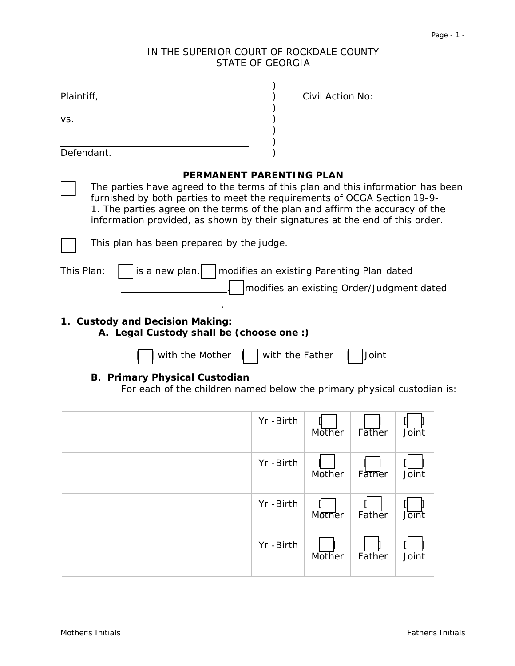# IN THE SUPERIOR COURT OF ROCKDALE COUNTY STATE OF GEORGIA

| Plaintiff,                                                                                                      | Civil Action No:                                                                                                                                                                                                                                                                                                                                               |  |  |
|-----------------------------------------------------------------------------------------------------------------|----------------------------------------------------------------------------------------------------------------------------------------------------------------------------------------------------------------------------------------------------------------------------------------------------------------------------------------------------------------|--|--|
| VS.                                                                                                             |                                                                                                                                                                                                                                                                                                                                                                |  |  |
| Defendant.                                                                                                      |                                                                                                                                                                                                                                                                                                                                                                |  |  |
|                                                                                                                 | <b>PERMANENT PARENTING PLAN</b><br>The parties have agreed to the terms of this plan and this information has been<br>furnished by both parties to meet the requirements of OCGA Section 19-9-<br>1. The parties agree on the terms of the plan and affirm the accuracy of the<br>information provided, as shown by their signatures at the end of this order. |  |  |
| This plan has been prepared by the judge.                                                                       |                                                                                                                                                                                                                                                                                                                                                                |  |  |
| is a new plan.<br>This Plan:                                                                                    | modifies an existing Parenting Plan dated<br>modifies an existing Order/Judgment dated                                                                                                                                                                                                                                                                         |  |  |
| 1. Custody and Decision Making:<br>A. Legal Custody shall be (choose one :)                                     |                                                                                                                                                                                                                                                                                                                                                                |  |  |
| with the Mother                                                                                                 | with the Father<br>Joint                                                                                                                                                                                                                                                                                                                                       |  |  |
| <b>B. Primary Physical Custodian</b><br>For each of the children named below the primary physical custodian is: |                                                                                                                                                                                                                                                                                                                                                                |  |  |
|                                                                                                                 | Yr -Birth<br>Mother<br>Father<br>Joint                                                                                                                                                                                                                                                                                                                         |  |  |
|                                                                                                                 | Yr -Birth<br>Mother<br>Father<br>Joint                                                                                                                                                                                                                                                                                                                         |  |  |
|                                                                                                                 | Yr -Birth                                                                                                                                                                                                                                                                                                                                                      |  |  |

 $M$ <sub>Mother</sub>

**Mother** 

Yr -Birth

Father

 $\|$ **Father**  Joint

 $\mathbb{I}$ Joint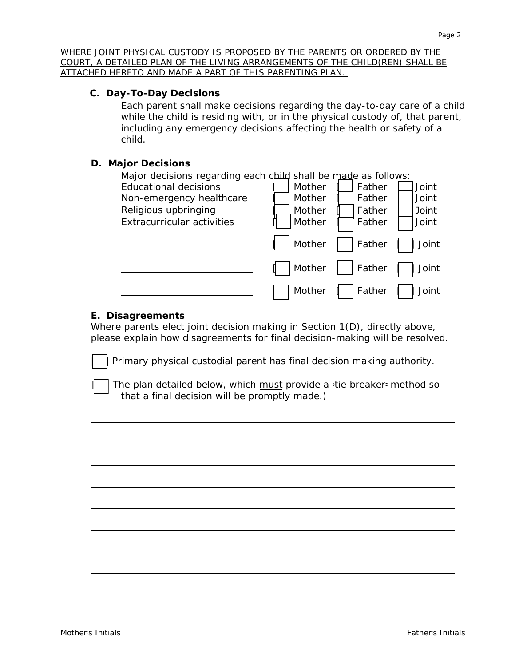*WHERE JOINT PHYSICAL CUSTODY IS PROPOSED BY THE PARENTS OR ORDERED BY THE COURT, A DETAILED PLAN OF THE LIVING ARRANGEMENTS OF THE CHILD(REN) SHALL BE ATTACHED HERETO AND MADE A PART OF THIS PARENTING PLAN.* 

#### **C. Day-To-Day Decisions**

Each parent shall make decisions regarding the day-to-day care of a child while the child is residing with, or in the physical custody of, that parent, including any emergency decisions affecting the health or safety of a child.

#### **D. Major Decisions**

| Major decisions regarding each child shall be made as follows: |        |        |       |
|----------------------------------------------------------------|--------|--------|-------|
| <b>Educational decisions</b>                                   | Mother | Father | Joint |
| Non-emergency healthcare                                       | Mother | Father | Joint |
| Religious upbringing                                           | Mother | Father | Joint |
| <b>Extracurricular activities</b>                              | Mother | Father | Joint |
|                                                                | Mother | Father | Joint |
|                                                                | Mother | Father | Joint |
|                                                                | Mother | Father | Joint |

#### **E. Disagreements**

Where parents elect joint decision making in Section 1(D), directly above, please explain how disagreements for final decision-making will be resolved.

Primary physical custodial parent has final decision making authority.

The plan detailed below, which must provide a *stie* breaker= method so that a final decision will be promptly made.)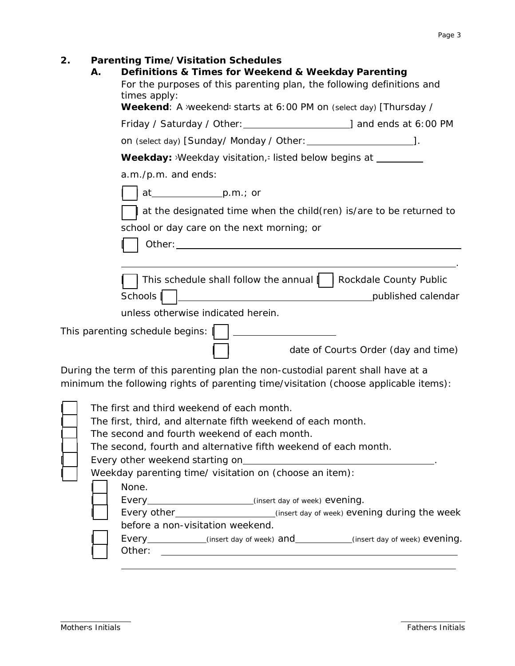| 2. | А. | Parenting Time/Visitation Schedules<br>Definitions & Times for Weekend & Weekday Parenting<br>For the purposes of this parenting plan, the following definitions and<br>times apply:                                           |  |  |
|----|----|--------------------------------------------------------------------------------------------------------------------------------------------------------------------------------------------------------------------------------|--|--|
|    |    | Weekend: A weekend- starts at 6:00 PM on (select day) [Thursday /                                                                                                                                                              |  |  |
|    |    |                                                                                                                                                                                                                                |  |  |
|    |    |                                                                                                                                                                                                                                |  |  |
|    |    | <b>Weekday:</b> >Weekday visitation,= listed below begins at _________                                                                                                                                                         |  |  |
|    |    | a.m./p.m. and ends:                                                                                                                                                                                                            |  |  |
|    |    |                                                                                                                                                                                                                                |  |  |
|    |    | at the designated time when the child (ren) is/are to be returned to                                                                                                                                                           |  |  |
|    |    | school or day care on the next morning; or                                                                                                                                                                                     |  |  |
|    |    | Other: when the contract of the contract of the contract of the contract of the contract of the contract of the contract of the contract of the contract of the contract of the contract of the contract of the contract of th |  |  |
|    |    |                                                                                                                                                                                                                                |  |  |
|    |    | This schedule shall follow the annual     Rockdale County Public                                                                                                                                                               |  |  |
|    |    | Schools<br>published calendar                                                                                                                                                                                                  |  |  |
|    |    | unless otherwise indicated herein.                                                                                                                                                                                             |  |  |
|    |    | This parenting schedule begins:    _                                                                                                                                                                                           |  |  |
|    |    | date of Court-s Order (day and time)                                                                                                                                                                                           |  |  |
|    |    | During the term of this parenting plan the non-custodial parent shall have at a                                                                                                                                                |  |  |
|    |    | minimum the following rights of parenting time/visitation (choose applicable items):                                                                                                                                           |  |  |
|    |    | The first and third weekend of each month.<br>The first, third, and alternate fifth weekend of each month.                                                                                                                     |  |  |
|    |    | The second and fourth weekend of each month.                                                                                                                                                                                   |  |  |
|    |    | The second, fourth and alternative fifth weekend of each month.                                                                                                                                                                |  |  |
|    |    |                                                                                                                                                                                                                                |  |  |
|    |    | Weekday parenting time/ visitation on (choose an item):                                                                                                                                                                        |  |  |
|    |    | None.                                                                                                                                                                                                                          |  |  |
|    |    |                                                                                                                                                                                                                                |  |  |
|    |    | Every other____________________________(insert day of week) evening during the week                                                                                                                                            |  |  |

before a non-visitation weekend.

[ ] Every *(insert day of week)* and *(insert day of week)* evening. [ ] Other: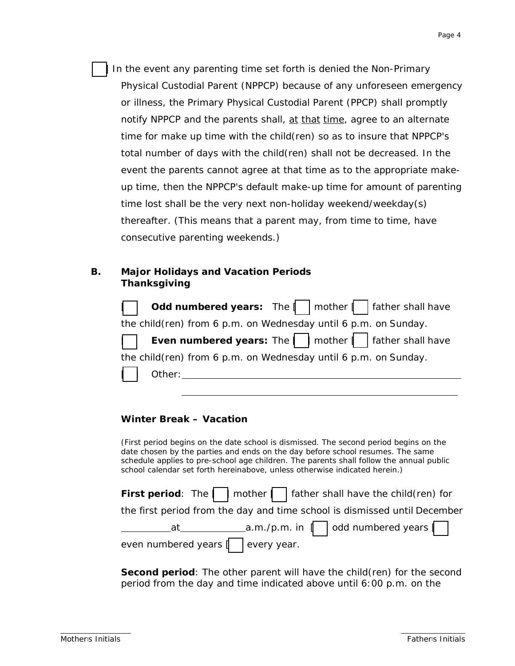In the event any parenting time set forth is denied the *Non-Primary Physical Custodial Parent* (NPPCP) because of any unforeseen emergency or illness, the *Primary Physical Custodial Parent* (PPCP) shall promptly notify NPPCP and the parents shall, at that time, agree to an alternate time for make up time with the child(ren) so as to insure that NPPCP's total number of days with the child(ren) shall not be decreased. In the event the parents cannot agree at that time as to the appropriate makeup time, then the NPPCP's default make-up time for amount of parenting time lost shall be the very next non-holiday weekend/weekday(s) thereafter. (This means that a parent may, from time to time, have consecutive parenting weekends.)

#### **B. Major Holidays and Vacation Periods Thanksgiving**

|                                                                 | Odd numbered years: The   mother   father shall have                   |  |  |  |
|-----------------------------------------------------------------|------------------------------------------------------------------------|--|--|--|
|                                                                 | the child(ren) from 6 p.m. on Wednesday until 6 p.m. on Sunday.        |  |  |  |
|                                                                 | <b>Even numbered years:</b> The $\Box$ mother $\Box$ father shall have |  |  |  |
| the child(ren) from 6 p.m. on Wednesday until 6 p.m. on Sunday. |                                                                        |  |  |  |
| $\vert$ $\vert$ Other:                                          |                                                                        |  |  |  |

## **Winter Break – Vacation**

*(First period begins on the date school is dismissed. The second period begins on the date chosen by the parties and ends on the day before school resumes. The same schedule applies to pre-school age children. The parents shall follow the annual public school calendar set forth hereinabove, unless otherwise indicated herein.)*

|                                                                                  | First period: The $\Box$ mother $\Box$ father shall have the child(ren) for |  |  |  |
|----------------------------------------------------------------------------------|-----------------------------------------------------------------------------|--|--|--|
| the <i>first</i> period from the day and time school is dismissed until December |                                                                             |  |  |  |
|                                                                                  |                                                                             |  |  |  |
| even numbered years $\parallel$ $\parallel$ every year.                          |                                                                             |  |  |  |

**Second period**: The other parent will have the child(ren) for the *second* period from the day and time indicated above until 6:00 p.m. on the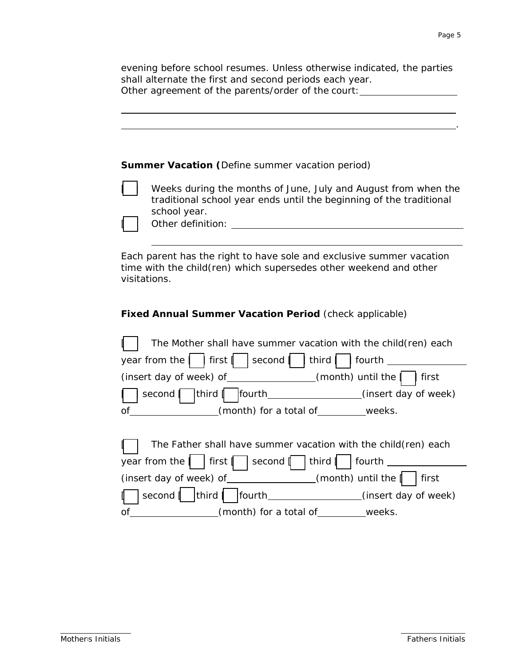evening before school resumes. Unless otherwise indicated, the parties shall alternate the first and second periods each year. Other agreement of the parents/order of the court: \_\_\_\_\_\_\_\_\_\_\_\_\_\_\_\_\_\_\_\_\_\_\_\_\_\_\_\_\_

| <b>Summer Vacation (Define summer vacation period)</b> |                                                                                                                                                                            |  |  |
|--------------------------------------------------------|----------------------------------------------------------------------------------------------------------------------------------------------------------------------------|--|--|
|                                                        | Weeks during the months of June, July and August from when the<br>traditional school year ends until the beginning of the traditional<br>school year.<br>Other definition: |  |  |
| visitations.                                           | Each parent has the right to have sole and exclusive summer vacation<br>time with the child (ren) which supersedes other weekend and other                                 |  |  |

## *Fixed Annual Summer Vacation Period (check applicable)*

| year from the     first     second                   | The Mother shall have summer vacation with the child(ren) each<br>third  <br>  fourth         |
|------------------------------------------------------|-----------------------------------------------------------------------------------------------|
|                                                      | first                                                                                         |
| second                                               |                                                                                               |
| of<br>( <i>month</i> ) for a total of weeks.         |                                                                                               |
| year from the     first     second                   | The Father shall have summer vacation with the child(ren) each<br>  third $ $   fourth $\_\_$ |
| (insert day of week) of $\sqrt{m}$ (month) until the | first                                                                                         |
| third  <br>second  <br> fourth<br>$\mathbf{I}$       | (insert day of week)                                                                          |
| of<br>(month) for a total of _________ weeks.        |                                                                                               |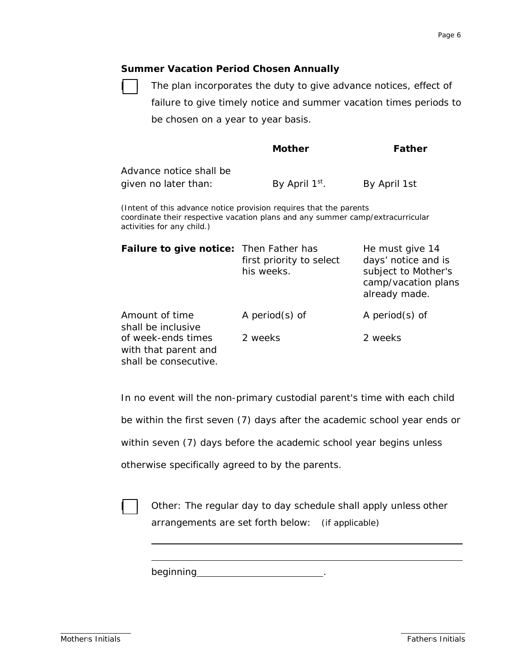#### *Summer Vacation Period Chosen Annually*

The plan incorporates the duty to give advance notices, effect of failure to give timely notice and summer vacation times periods to be chosen on a year to year basis.

|                                                                                                                                                                                    | <b>Mother</b>                          | Father                                                                                                |  |  |
|------------------------------------------------------------------------------------------------------------------------------------------------------------------------------------|----------------------------------------|-------------------------------------------------------------------------------------------------------|--|--|
| Advance notice shall be<br>given no later than:                                                                                                                                    | By April 1 <sup>st</sup> .             | By April 1st                                                                                          |  |  |
| (Intent of this advance notice provision requires that the parents<br>coordinate their respective vacation plans and any summer camp/extracurricular<br>activities for any child.) |                                        |                                                                                                       |  |  |
| <b>Failure to give notice:</b> Then Father has                                                                                                                                     | first priority to select<br>his weeks. | He must give 14<br>days' notice and is<br>subject to Mother's<br>camp/vacation plans<br>already made. |  |  |
| Amount of time<br>shall be inclusive                                                                                                                                               | A period $(s)$ of                      | A period $(s)$ of                                                                                     |  |  |
| of week-ends times<br>with that parent and<br>shall be consecutive.                                                                                                                | 2 weeks                                | 2 weeks                                                                                               |  |  |

*In no event will the non-primary custodial parent's time with each child* 

*be within the first seven (7) days after the academic school year ends or* 

*within seven (7) days before the academic school year begins unless* 

*otherwise specifically agreed to by the parents.*



Other: The regular day to day schedule shall apply unless other arrangements are set forth below: *(if applicable)*

beginning **beginning**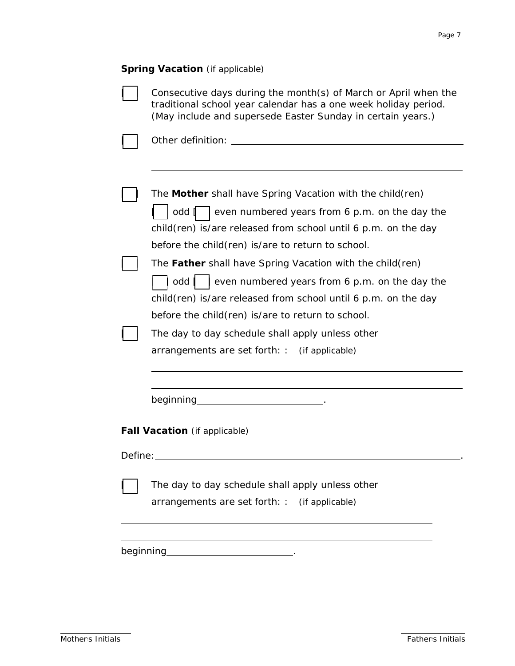#### **Spring Vacation** *(if applicable)*

 $\Box$ 

| The Mother shall have Spring Vacation with the child(ren)        |
|------------------------------------------------------------------|
| odd<br>even numbered years from 6 p.m. on the day the            |
| child(ren) is/are released from school until 6 p.m. on the day   |
| before the child (ren) is/are to return to school.               |
| The <b>Father</b> shall have Spring Vacation with the child(ren) |
| even numbered years from 6 p.m. on the day the<br>odd            |
| child(ren) is/are released from school until 6 p.m. on the day   |
| before the child(ren) is/are to return to school.                |
| The day to day schedule shall apply unless other                 |
| arrangements are set forth: : (if applicable)                    |
|                                                                  |

<u> 1989 - Johann Stoff, deutscher Stoffen und der Stoffen und der Stoffen und der Stoffen und der Stoffen und der</u>

beginning \_\_\_\_\_\_\_\_\_\_\_\_\_\_\_\_\_\_\_\_\_\_\_\_\_\_\_\_.

**Fall Vacation** *(if applicable)*

Define: .

The day to day schedule shall apply unless other

<u> 1989 - Johann Stoff, deutscher Stoff, der Stoff, der Stoff, der Stoff, der Stoff, der Stoff, der Stoff, der S</u>

arrangements are set forth: : *(if applicable)*

beginning \_\_\_\_\_\_\_\_\_\_\_\_\_\_\_\_\_\_\_\_\_\_\_\_\_\_\_\_\_.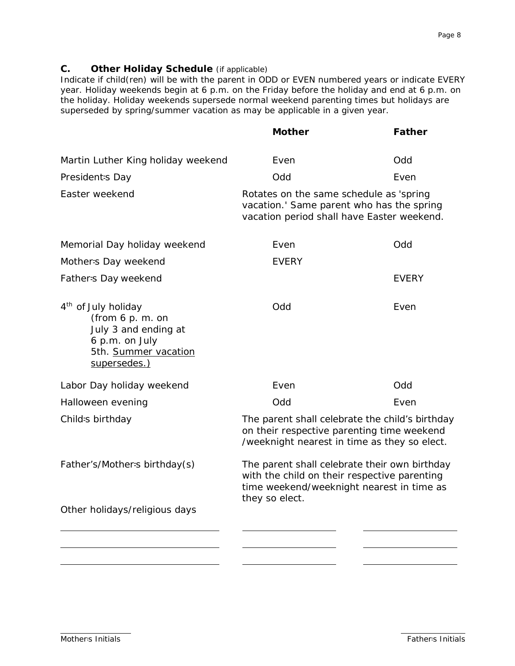## **C. Other Holiday Schedule** (if applicable)

*Indicate if child(ren) will be with the parent in ODD or EVEN numbered years or indicate EVERY year. Holiday weekends begin at 6 p.m. on the Friday before the holiday and end at 6 p.m. on the holiday. Holiday weekends supersede normal weekend parenting times but holidays are superseded by spring/summer vacation as may be applicable in a given year.*

|                                                                                                                                      | <b>Mother</b>                                                                                                                                                | <b>Father</b> |  |
|--------------------------------------------------------------------------------------------------------------------------------------|--------------------------------------------------------------------------------------------------------------------------------------------------------------|---------------|--|
| Martin Luther King holiday weekend                                                                                                   | Even                                                                                                                                                         | Odd           |  |
| President-s Day                                                                                                                      | Odd                                                                                                                                                          | Even          |  |
| Easter weekend                                                                                                                       | Rotates on the same schedule as 'spring<br>vacation.' Same parent who has the spring<br>vacation period shall have Easter weekend.                           |               |  |
| Memorial Day holiday weekend                                                                                                         | Even                                                                                                                                                         | Odd           |  |
| Mother-s Day weekend                                                                                                                 | EVERY                                                                                                                                                        |               |  |
| Father-s Day weekend                                                                                                                 |                                                                                                                                                              | <b>EVERY</b>  |  |
| 4 <sup>th</sup> of July holiday<br>(from 6 p.m. on<br>July 3 and ending at<br>6 p.m. on July<br>5th. Summer vacation<br>supersedes.) | Odd                                                                                                                                                          | Even          |  |
| Labor Day holiday weekend                                                                                                            | Even                                                                                                                                                         | <b>DPO</b>    |  |
| Halloween evening                                                                                                                    | Odd                                                                                                                                                          | Even          |  |
| Child-s birthday                                                                                                                     | The parent shall celebrate the child's birthday<br>on their respective parenting time weekend<br>/weeknight nearest in time as they so elect.                |               |  |
| Father's/Mother-s birthday(s)                                                                                                        | The parent shall celebrate their own birthday<br>with the child on their respective parenting<br>time weekend/weeknight nearest in time as<br>they so elect. |               |  |
| Other holidays/religious days                                                                                                        |                                                                                                                                                              |               |  |
|                                                                                                                                      |                                                                                                                                                              |               |  |
|                                                                                                                                      |                                                                                                                                                              |               |  |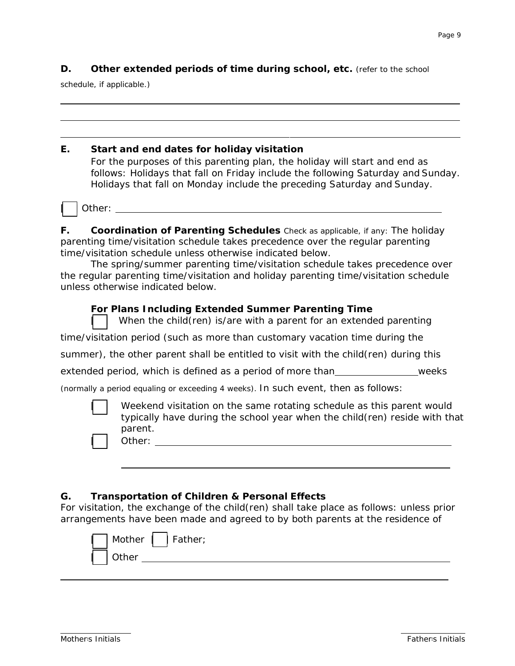## **D.** Other extended periods of time during school, etc. (refer to the school

schedule, if applicable.)

| Е. | Start and end dates for holiday visitation                                                                                                                                                                                                |  |  |  |  |
|----|-------------------------------------------------------------------------------------------------------------------------------------------------------------------------------------------------------------------------------------------|--|--|--|--|
|    | For the purposes of this parenting plan, the holiday will start and end as<br>follows: Holidays that fall on Friday include the following Saturday and Sunday.<br>Holidays that fall on Monday include the preceding Saturday and Sunday. |  |  |  |  |
|    | Other: and the state of the state of the state of the state of the state of the state of the state of the state                                                                                                                           |  |  |  |  |
| F. | <b>Coordination of Parenting Schedules</b> Check as applicable, if any: The holiday<br>parenting time/visitation schedule takes precedence over the regular parenting<br>time/visitation schedule unless otherwise indicated below.       |  |  |  |  |
|    | The spring/summer parenting time/visitation schedule takes precedence over<br>the regular parenting time/visitation and holiday parenting time/visitation schedule<br>unless otherwise indicated below.                                   |  |  |  |  |
|    | <b>For Plans Including Extended Summer Parenting Time</b><br>When the child (ren) is/are with a parent for an extended parenting                                                                                                          |  |  |  |  |
|    | time/visitation period (such as more than customary vacation time during the                                                                                                                                                              |  |  |  |  |
|    | summer), the other parent shall be entitled to visit with the child(ren) during this                                                                                                                                                      |  |  |  |  |
|    | weeks<br>extended period, which is defined as a period of more than                                                                                                                                                                       |  |  |  |  |
|    | (normally a period equaling or exceeding 4 weeks). In such event, then as follows:                                                                                                                                                        |  |  |  |  |
|    | Weekend visitation on the same rotating schedule as this parent would<br>typically have during the school year when the child(ren) reside with that                                                                                       |  |  |  |  |
|    | parent.<br>Other:                                                                                                                                                                                                                         |  |  |  |  |

# **G. Transportation of Children & Personal Effects**

For visitation, the exchange of the child(ren) shall take place as follows: unless prior arrangements have been made and agreed to by both parents at the residence of

| Mother     Father; |  |
|--------------------|--|
| .her               |  |
|                    |  |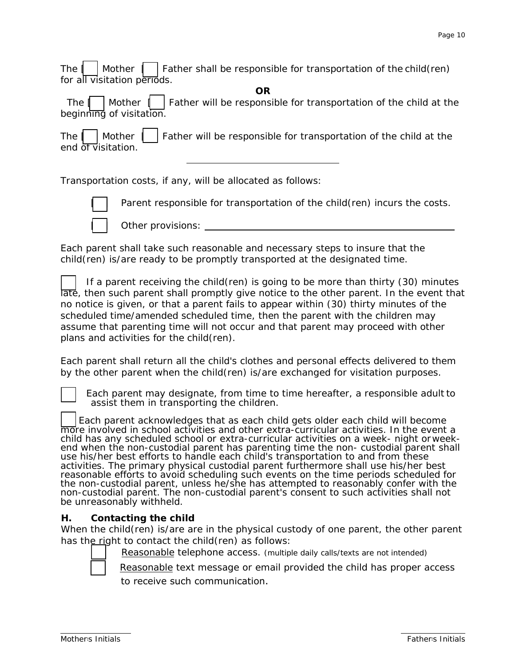The  $\parallel$  Mother  $\parallel$  Father shall be responsible for transportation of the child(ren) for all visitation periods.

*OR*

The  $\vert \vert$  Mother  $\vert \vert$  Father will be responsible for transportation of the child at the beginning of visitation.

The  $\vert$  Mother  $\vert$  Father will be responsible for transportation of the child at the end of visitation.

Transportation costs, if any, will be allocated as follows:



Parent responsible for transportation of the child(ren) incurs the costs.

Other provisions:

Each parent shall take such reasonable and necessary steps to insure that the child(ren) is/are ready to be promptly transported at the designated time.

If a parent receiving the child(ren) is going to be more than thirty  $(30)$  minutes late, then such parent shall promptly give notice to the other parent. In the event that no notice is given, or that a parent fails to appear within (30) thirty minutes of the scheduled time/amended scheduled time, then the parent with the children may assume that parenting time will not occur and that parent may proceed with other plans and activities for the child(ren).

Each parent shall return all the child's clothes and personal effects delivered to them by the other parent when the child(ren) is/are exchanged for visitation purposes.

Each parent may designate, from time to time hereafter, a responsible adult to assist them in transporting the children.

Each parent acknowledges that as each child gets older each child will become more involved in school activities and other extra-curricular activities. In the event a child has any scheduled school or extra-curricular activities on a week- night orweekend when the non-custodial parent has parenting time the non- custodial parent shall use his/her best efforts to handle each child's transportation to and from these activities. The primary physical custodial parent furthermore shall use his/her best reasonable efforts to avoid scheduling such events on the time periods scheduled for the non-custodial parent, unless he/she has attempted to reasonably confer with the non-custodial parent. The non-custodial parent's consent to such activities shall not be unreasonably withheld.

# **H. Contacting the child**

When the child(ren) is/are are in the physical custody of one parent, the other parent has the right to contact the child(ren) as follows:

Reasonable telephone access. (multiple daily calls/texts are not intended)



Reasonable text message or email provided the child has proper access to receive such communication.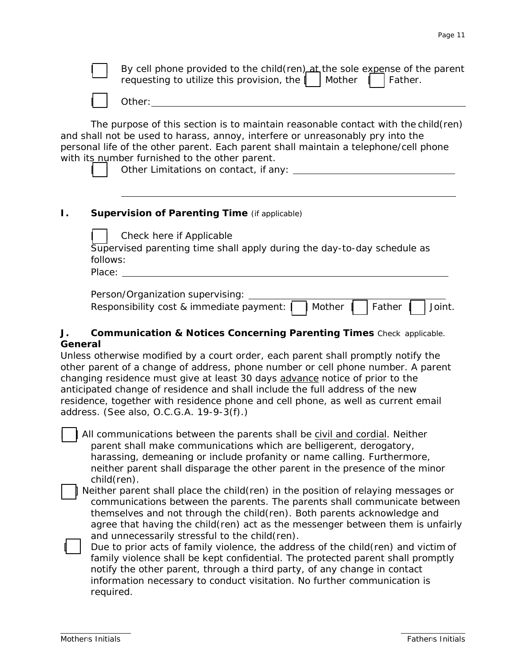|               |                                                                                                                                                                                                                                                                                                                                                                                                             | By cell phone provided to the child(ren) at the sole expense of the parent<br>requesting to utilize this provision, the<br>Mother<br>Father.                                                                                                          |  |  |  |  |  |  |
|---------------|-------------------------------------------------------------------------------------------------------------------------------------------------------------------------------------------------------------------------------------------------------------------------------------------------------------------------------------------------------------------------------------------------------------|-------------------------------------------------------------------------------------------------------------------------------------------------------------------------------------------------------------------------------------------------------|--|--|--|--|--|--|
|               |                                                                                                                                                                                                                                                                                                                                                                                                             |                                                                                                                                                                                                                                                       |  |  |  |  |  |  |
|               | The purpose of this section is to maintain reasonable contact with the child (ren)<br>and shall not be used to harass, annoy, interfere or unreasonably pry into the<br>personal life of the other parent. Each parent shall maintain a telephone/cell phone<br>with its number furnished to the other parent.<br>Other Limitations on contact, if any: Distribution of the Limitations on contact, if any: |                                                                                                                                                                                                                                                       |  |  |  |  |  |  |
| Ι.            | <b>Supervision of Parenting Time (if applicable)</b>                                                                                                                                                                                                                                                                                                                                                        |                                                                                                                                                                                                                                                       |  |  |  |  |  |  |
|               |                                                                                                                                                                                                                                                                                                                                                                                                             | Check here if Applicable<br>Supervised parenting time shall apply during the day-to-day schedule as<br>follows:<br>Place:                                                                                                                             |  |  |  |  |  |  |
|               |                                                                                                                                                                                                                                                                                                                                                                                                             | Person/Organization supervising: _______<br>Responsibility cost & immediate payment:<br>Father<br>Joint.<br>Mother                                                                                                                                    |  |  |  |  |  |  |
| J.<br>General |                                                                                                                                                                                                                                                                                                                                                                                                             | <b>Communication &amp; Notices Concerning Parenting Times</b> Check applicable.                                                                                                                                                                       |  |  |  |  |  |  |
|               |                                                                                                                                                                                                                                                                                                                                                                                                             | Unless otherwise modified by a court order, each parent shall promptly notify the<br>other parent of a change of address, phone number or cell phone number. A parent<br>changing residence must give at least 30 days advance notice of prior to the |  |  |  |  |  |  |

anticipated change of residence and shall include the full address of the new residence, together with residence phone and cell phone, as well as current email address. (See also, O.C.G.A. 19-9-3(f).)

All communications between the parents shall be civil and cordial. Neither parent shall make communications which are belligerent, derogatory, harassing, demeaning or include profanity or name calling. Furthermore, neither parent shall disparage the other parent in the presence of the minor child(ren).

[ ] Neither parent shall place the child(ren) in the position of relaying messages or communications between the parents. The parents shall communicate between themselves and not through the child(ren). Both parents acknowledge and agree that having the child(ren) act as the messenger between them is unfairly and unnecessarily stressful to the child(ren).

Due to prior acts of family violence, the address of the child(ren) and victim of family violence shall be kept confidential. The protected parent shall promptly notify the other parent, through a third party, of any change in contact information necessary to conduct visitation. No further communication is required.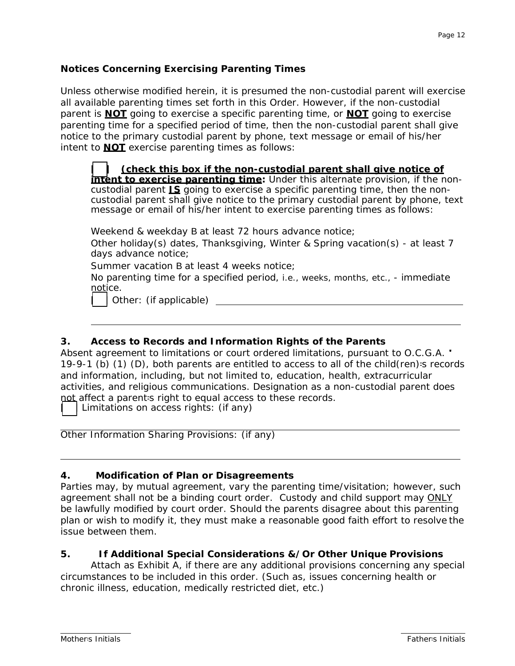# **Notices Concerning Exercising Parenting Times**

Unless otherwise modified herein, it is presumed the non-custodial parent will exercise all available parenting times set forth in this Order. However, if the non-custodial parent is **NOT** going to exercise a specific parenting time, or **NOT** going to exercise parenting time for a specified period of time, then the non-custodial parent shall give notice to the primary custodial parent by phone, text message or email of his/her intent to **NOT** exercise parenting times as follows:

**[ ]** *(check this box if the non-custodial parent shall give notice of intent to exercise parenting time***:** Under this alternate provision, if the noncustodial parent **IS** going to exercise a specific parenting time, then the noncustodial parent shall give notice to the primary custodial parent by phone, text message or email of his/her intent to exercise parenting times as follows:

Weekend & weekday B at least 72 hours advance notice;

Other holiday(s) dates, Thanksgiving, Winter & Spring vacation(s) - at least 7 days advance notice;

Summer vacation B at least 4 weeks notice;

No parenting time for a specified period, *i.e., weeks, months, etc*., - immediate notice.

[ ] Other: *(if applicable)* 

## **3. Access to Records and Information Rights of the Parents**

Absent agreement to limitations or court ordered limitations, pursuant to O.C.G.A. ' 19-9-1 (b) (1) (D), both parents are entitled to access to all of the child(ren)=s records and information, including, but not limited to, education, health, extracurricular activities, and religious communications. Designation as a non-custodial parent does not affect a parent-s right to equal access to these records.

Limitations on access rights: (if any)

Other Information Sharing Provisions: (if any)

## **4. Modification of Plan or Disagreements**

Parties may, by mutual agreement, vary the parenting time/visitation; however, such agreement shall not be a binding court order. Custody and child support may ONLY be lawfully modified by court order. Should the parents disagree about this parenting plan or wish to modify it, they must make a reasonable good faith effort to resolve the issue between them.

## **5. If Additional Special Considerations &/Or Other Unique Provisions**

Attach as Exhibit A, if there are any additional provisions concerning any special circumstances to be included in this order. (Such as, issues concerning health or chronic illness, education, medically restricted diet, etc.)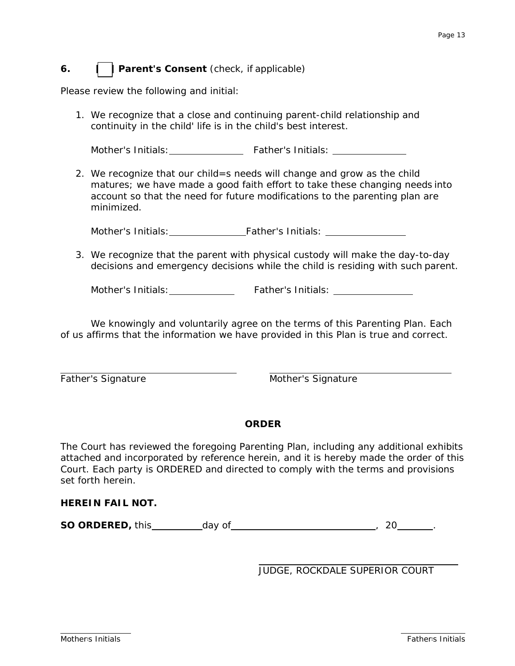# *6.* **[ ] Parent's Consent** *(check, if applicable)*

Please review the following and initial:

1. We recognize that a close and continuing parent-child relationship and continuity in the child' life is in the child's best interest.

Mother's Initials: Father's Initials:

2. We recognize that our child=s needs will change and grow as the child matures; we have made a good faith effort to take these changing needs into account so that the need for future modifications to the parenting plan are minimized.

Mother's Initials: Father's Initials: Christian Mother's Initials:

3. We recognize that the parent with physical custody will make the day-to-day decisions and emergency decisions while the child is residing with such parent.

Mother's Initials: Father's Initials:

We knowingly and voluntarily agree on the terms of this Parenting Plan. Each of us affirms that the information we have provided in this Plan is true and correct.

Father's Signature Mother's Signature

## **ORDER**

The Court has reviewed the foregoing Parenting Plan, including any additional exhibits attached and incorporated by reference herein, and it is hereby made the order of this Court. Each party is ORDERED and directed to comply with the terms and provisions set forth herein.

#### **HEREIN FAIL NOT.**

**SO ORDERED,** this day of , 20 .

JUDGE, ROCKDALE SUPERIOR COURT